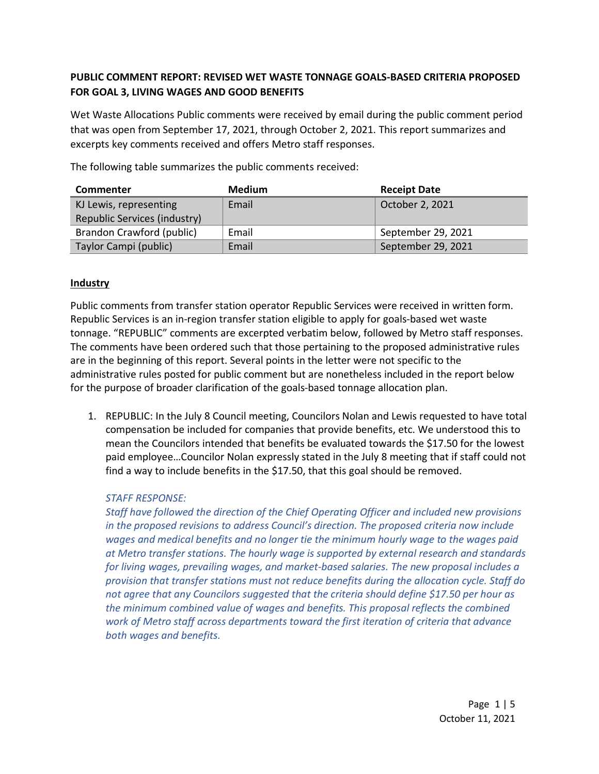# **PUBLIC COMMENT REPORT: REVISED WET WASTE TONNAGE GOALS-BASED CRITERIA PROPOSED FOR GOAL 3, LIVING WAGES AND GOOD BENEFITS**

Wet Waste Allocations Public comments were received by email during the public comment period that was open from September 17, 2021, through October 2, 2021. This report summarizes and excerpts key comments received and offers Metro staff responses.

The following table summarizes the public comments received: **Commenter Medium Receipt Date** 

| Commenter                    | Medium | <b>Receipt Date</b> |
|------------------------------|--------|---------------------|
| KJ Lewis, representing       | Email  | October 2, 2021     |
| Republic Services (industry) |        |                     |
| Brandon Crawford (public)    | Email  | September 29, 2021  |
| Taylor Campi (public)        | Email  | September 29, 2021  |

## **Industry**

Public comments from transfer station operator Republic Services were received in written form. Republic Services is an in-region transfer station eligible to apply for goals-based wet waste tonnage. "REPUBLIC" comments are excerpted verbatim below, followed by Metro staff responses. The comments have been ordered such that those pertaining to the proposed administrative rules are in the beginning of this report. Several points in the letter were not specific to the administrative rules posted for public comment but are nonetheless included in the report below for the purpose of broader clarification of the goals-based tonnage allocation plan.

1. REPUBLIC: In the July 8 Council meeting, Councilors Nolan and Lewis requested to have total compensation be included for companies that provide benefits, etc. We understood this to mean the Councilors intended that benefits be evaluated towards the \$17.50 for the lowest paid employee…Councilor Nolan expressly stated in the July 8 meeting that if staff could not find a way to include benefits in the \$17.50, that this goal should be removed.

# *STAFF RESPONSE:*

*Staff have followed the direction of the Chief Operating Officer and included new provisions in the proposed revisions to address Council's direction. The proposed criteria now include wages and medical benefits and no longer tie the minimum hourly wage to the wages paid at Metro transfer stations. The hourly wage is supported by external research and standards for living wages, prevailing wages, and market-based salaries. The new proposal includes a provision that transfer stations must not reduce benefits during the allocation cycle. Staff do not agree that any Councilors suggested that the criteria should define \$17.50 per hour as the minimum combined value of wages and benefits. This proposal reflects the combined work of Metro staff across departments toward the first iteration of criteria that advance both wages and benefits.*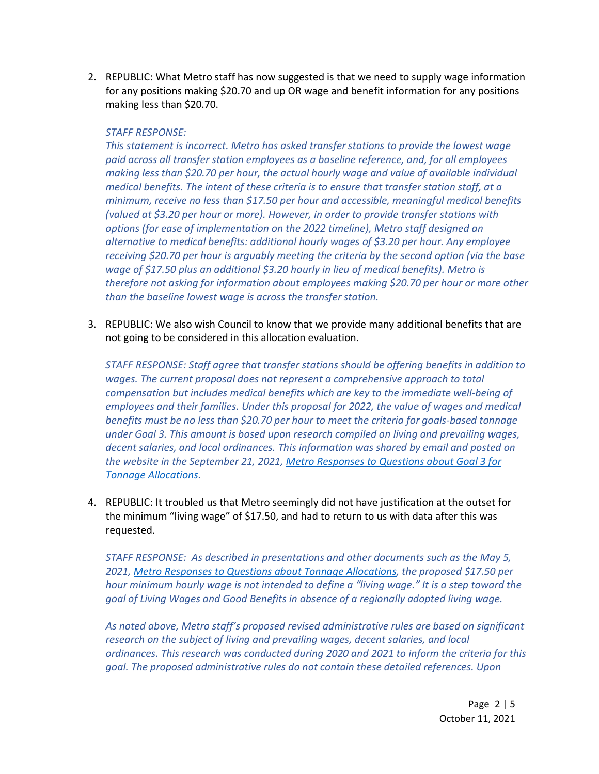2. REPUBLIC: What Metro staff has now suggested is that we need to supply wage information for any positions making \$20.70 and up OR wage and benefit information for any positions making less than \$20.70.

#### *STAFF RESPONSE:*

*This statement is incorrect. Metro has asked transfer stations to provide the lowest wage paid across all transfer station employees as a baseline reference, and, for all employees making less than \$20.70 per hour, the actual hourly wage and value of available individual medical benefits. The intent of these criteria is to ensure that transfer station staff, at a minimum, receive no less than \$17.50 per hour and accessible, meaningful medical benefits (valued at \$3.20 per hour or more). However, in order to provide transfer stations with options (for ease of implementation on the 2022 timeline), Metro staff designed an alternative to medical benefits: additional hourly wages of \$3.20 per hour. Any employee receiving \$20.70 per hour is arguably meeting the criteria by the second option (via the base wage of \$17.50 plus an additional \$3.20 hourly in lieu of medical benefits). Metro is therefore not asking for information about employees making \$20.70 per hour or more other than the baseline lowest wage is across the transfer station.*

3. REPUBLIC: We also wish Council to know that we provide many additional benefits that are not going to be considered in this allocation evaluation.

*STAFF RESPONSE: Staff agree that transfer stations should be offering benefits in addition to wages. The current proposal does not represent a comprehensive approach to total compensation but includes medical benefits which are key to the immediate well-being of employees and their families. Under this proposal for 2022, the value of wages and medical benefits must be no less than \$20.70 per hour to meet the criteria for goals-based tonnage under Goal 3. This amount is based upon research compiled on living and prevailing wages, decent salaries, and local ordinances. This information was shared by email and posted on the website in the September 21, 2021, [Metro Responses to Questions about Goal](https://www.oregonmetro.gov/sites/default/files/2021/09/21/Metro-responses-to-questions-about-goal-3-for-tonnage-allocations.pdf) 3 for [Tonnage Allocations.](https://www.oregonmetro.gov/sites/default/files/2021/09/21/Metro-responses-to-questions-about-goal-3-for-tonnage-allocations.pdf)*

4. REPUBLIC: It troubled us that Metro seemingly did not have justification at the outset for the minimum "living wage" of \$17.50, and had to return to us with data after this was requested.

*STAFF RESPONSE: As described in presentations and other documents such as the May 5, 2021, Metro [Responses to Questions about Tonnage Allocations,](https://www.oregonmetro.gov/sites/default/files/2021/05/11/Responses-to-questions-for-goal-based-tonnage-allocations.pdf) the proposed \$17.50 per hour minimum hourly wage is not intended to define a "living wage." It is a step toward the goal of Living Wages and Good Benefits in absence of a regionally adopted living wage.*

*As noted above, Metro staff's proposed revised administrative rules are based on significant research on the subject of living and prevailing wages, decent salaries, and local ordinances. This research was conducted during 2020 and 2021 to inform the criteria for this goal. The proposed administrative rules do not contain these detailed references. Upon*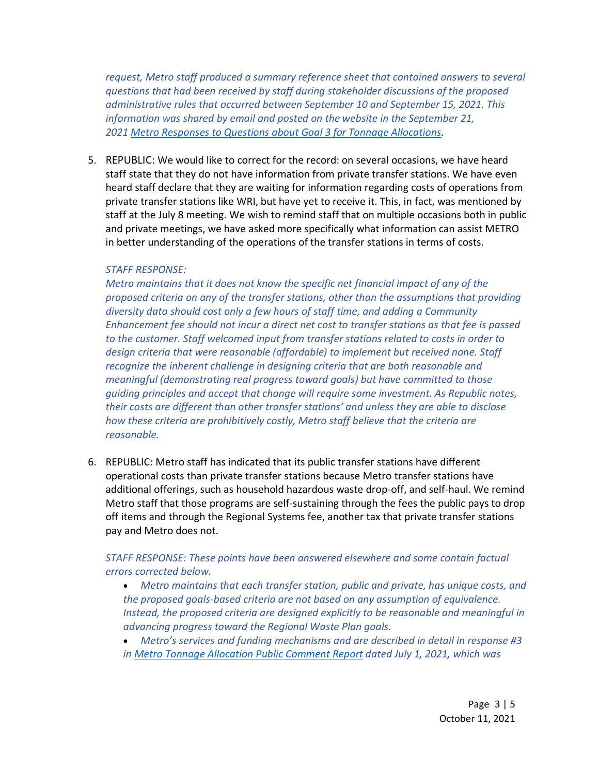*request, Metro staff produced a summary reference sheet that contained answers to several questions that had been received by staff during stakeholder discussions of the proposed administrative rules that occurred between September 10 and September 15, 2021. This information was shared by email and posted on the website in the September 21, 2021 [Metro Responses to Questions about Goal](https://www.oregonmetro.gov/sites/default/files/2021/09/21/Metro-responses-to-questions-about-goal-3-for-tonnage-allocations.pdf) 3 for Tonnage Allocations.*

5. REPUBLIC: We would like to correct for the record: on several occasions, we have heard staff state that they do not have information from private transfer stations. We have even heard staff declare that they are waiting for information regarding costs of operations from private transfer stations like WRI, but have yet to receive it. This, in fact, was mentioned by staff at the July 8 meeting. We wish to remind staff that on multiple occasions both in public and private meetings, we have asked more specifically what information can assist METRO in better understanding of the operations of the transfer stations in terms of costs.

#### *STAFF RESPONSE:*

*Metro maintains that it does not know the specific net financial impact of any of the proposed criteria on any of the transfer stations, other than the assumptions that providing diversity data should cost only a few hours of staff time, and adding a Community Enhancement fee should not incur a direct net cost to transfer stations as that fee is passed to the customer. Staff welcomed input from transfer stations related to costs in order to design criteria that were reasonable (affordable) to implement but received none. Staff recognize the inherent challenge in designing criteria that are both reasonable and meaningful (demonstrating real progress toward goals) but have committed to those guiding principles and accept that change will require some investment. As Republic notes, their costs are different than other transfer stations' and unless they are able to disclose how these criteria are prohibitively costly, Metro staff believe that the criteria are reasonable.*

6. REPUBLIC: Metro staff has indicated that its public transfer stations have different operational costs than private transfer stations because Metro transfer stations have additional offerings, such as household hazardous waste drop-off, and self-haul. We remind Metro staff that those programs are self-sustaining through the fees the public pays to drop off items and through the Regional Systems fee, another tax that private transfer stations pay and Metro does not.

## *STAFF RESPONSE: These points have been answered elsewhere and some contain factual errors corrected below.*

• *Metro maintains that each transfer station, public and private, has unique costs, and the proposed goals-based criteria are not based on any assumption of equivalence. Instead, the proposed criteria are designed explicitly to be reasonable and meaningful in advancing progress toward the Regional Waste Plan goals.*

• *Metro's services and funding mechanisms and are described in detail in response #3 in Metro [Tonnage Allocation](https://www.oregonmetro.gov/sites/default/files/2021/07/02/Metro-tonnage-allocation-public-comment-report-07012021.pdf) Public Comment Report dated July 1, 2021, which was*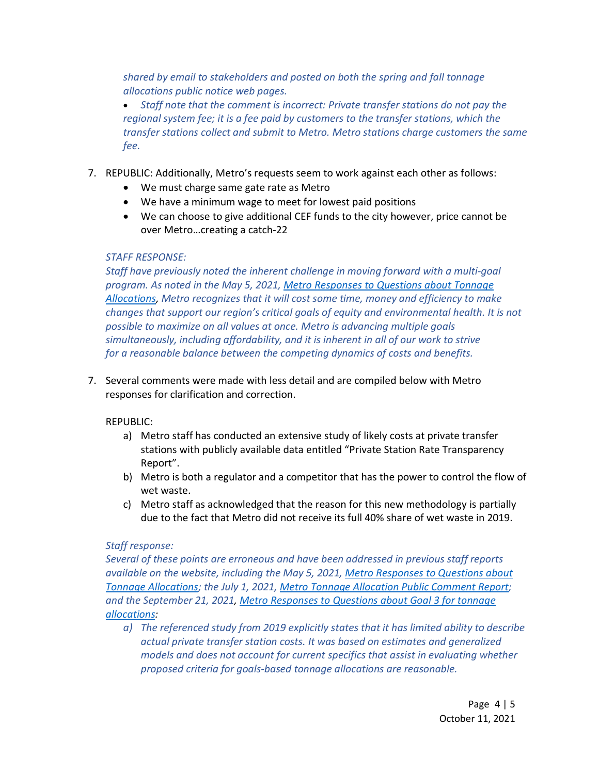*shared by email to stakeholders and posted on both the spring and fall tonnage allocations public notice web pages.*

• *Staff note that the comment is incorrect: Private transfer stations do not pay the regional system fee; it is a fee paid by customers to the transfer stations, which the transfer stations collect and submit to Metro. Metro stations charge customers the same fee.*

- 7. REPUBLIC: Additionally, Metro's requests seem to work against each other as follows:
	- We must charge same gate rate as Metro
	- We have a minimum wage to meet for lowest paid positions
	- We can choose to give additional CEF funds to the city however, price cannot be over Metro…creating a catch-22

### *STAFF RESPONSE:*

*Staff have previously noted the inherent challenge in moving forward with a multi-goal program. As noted in the May 5, 2021, [Metro Responses to Questions about Tonnage](https://www.oregonmetro.gov/sites/default/files/2021/05/11/Responses-to-questions-for-goal-based-tonnage-allocations.pdf)  [Allocations,](https://www.oregonmetro.gov/sites/default/files/2021/05/11/Responses-to-questions-for-goal-based-tonnage-allocations.pdf) Metro recognizes that it will cost some time, money and efficiency to make changes that support our region's critical goals of equity and environmental health. It is not possible to maximize on all values at once. Metro is advancing multiple goals simultaneously, including affordability, and it is inherent in all of our work to strive for a reasonable balance between the competing dynamics of costs and benefits.*

7. Several comments were made with less detail and are compiled below with Metro responses for clarification and correction.

### REPUBLIC:

- a) Metro staff has conducted an extensive study of likely costs at private transfer stations with publicly available data entitled "Private Station Rate Transparency Report".
- b) Metro is both a regulator and a competitor that has the power to control the flow of wet waste.
- c) Metro staff as acknowledged that the reason for this new methodology is partially due to the fact that Metro did not receive its full 40% share of wet waste in 2019.

### *Staff response:*

*Several of these points are erroneous and have been addressed in previous staff reports available on the website, including the May 5, 2021, Metro [Responses to Questions about](https://www.oregonmetro.gov/sites/default/files/2021/05/11/Responses-to-questions-for-goal-based-tonnage-allocations.pdf)  [Tonnage Allocations;](https://www.oregonmetro.gov/sites/default/files/2021/05/11/Responses-to-questions-for-goal-based-tonnage-allocations.pdf) the July 1, 2021, [Metro Tonnage Allocation Public Comment Report;](https://www.oregonmetro.gov/sites/default/files/2021/07/02/Metro-tonnage-allocation-public-comment-report-07012021.pdf) and the September 21, 2021, [Metro Responses to Questions about Goal 3 for tonnage](https://www.oregonmetro.gov/sites/default/files/2021/09/21/Metro-responses-to-questions-about-goal-3-for-tonnage-allocations.pdf)  [allocations:](https://www.oregonmetro.gov/sites/default/files/2021/09/21/Metro-responses-to-questions-about-goal-3-for-tonnage-allocations.pdf)* 

*a) The referenced study from 2019 explicitly states that it has limited ability to describe actual private transfer station costs. It was based on estimates and generalized models and does not account for current specifics that assist in evaluating whether proposed criteria for goals-based tonnage allocations are reasonable.*